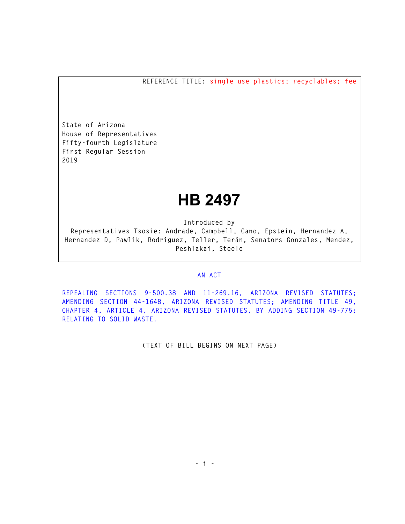**REFERENCE TITLE: single use plastics; recyclables; fee** 

**State of Arizona House of Representatives Fifty-fourth Legislature First Regular Session 2019** 

## **HB 2497**

**Introduced by** 

**Representatives Tsosie: Andrade, Campbell, Cano, Epstein, Hernandez A, Hernandez D, Pawlik, Rodriguez, Teller, Terán, Senators Gonzales, Mendez, Peshlakai, Steele** 

## **AN ACT**

**REPEALING SECTIONS 9-500.38 AND 11-269.16, ARIZONA REVISED STATUTES; AMENDING SECTION 44-1648, ARIZONA REVISED STATUTES; AMENDING TITLE 49, CHAPTER 4, ARTICLE 4, ARIZONA REVISED STATUTES, BY ADDING SECTION 49-775; RELATING TO SOLID WASTE.** 

**(TEXT OF BILL BEGINS ON NEXT PAGE)**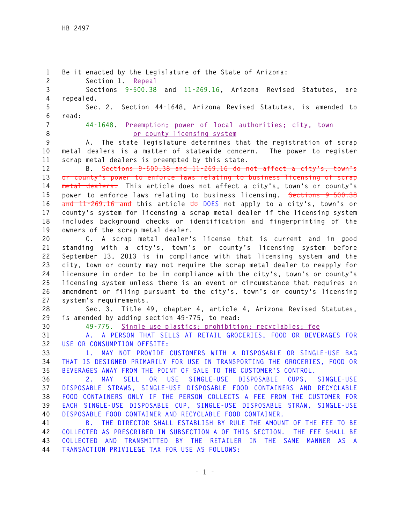**1 Be it enacted by the Legislature of the State of Arizona: 2 Section 1. Repeal 3 Sections 9-500.38 and 11-269.16, Arizona Revised Statutes, are 4 repealed. 5 Sec. 2. Section 44-1648, Arizona Revised Statutes, is amended to 6 read: 7 44-1648. Preemption; power of local authorities; city, town 8 or county licensing system 9 A. The state legislature determines that the registration of scrap 10 metal dealers is a matter of statewide concern. The power to register 11 scrap metal dealers is preempted by this state. 12 B. Sections 9-500.38 and 11-269.16 do not affect a city's, town's 13 or county's power to enforce laws relating to business licensing of scrap 14 metal dealers. This article does not affect a city's, town's or county's 15 power to enforce laws relating to business licensing. Sections 9-500.38 16 and 11-269.16 and this article do DOES not apply to a city's, town's or 17 county's system for licensing a scrap metal dealer if the licensing system 18 includes background checks or identification and fingerprinting of the 19 owners of the scrap metal dealer. 20 C. A scrap metal dealer's license that is current and in good 21 standing with a city's, town's or county's licensing system before 22 September 13, 2013 is in compliance with that licensing system and the 23 city, town or county may not require the scrap metal dealer to reapply for 24 licensure in order to be in compliance with the city's, town's or county's 25 licensing system unless there is an event or circumstance that requires an 26 amendment or filing pursuant to the city's, town's or county's licensing 27 system's requirements. 28 Sec. 3. Title 49, chapter 4, article 4, Arizona Revised Statutes, 29 is amended by adding section 49-775, to read: 30 49-775. Single use plastics; prohibition; recyclables; fee 31 A. A PERSON THAT SELLS AT RETAIL GROCERIES, FOOD OR BEVERAGES FOR 32 USE OR CONSUMPTION OFFSITE: 33 1. MAY NOT PROVIDE CUSTOMERS WITH A DISPOSABLE OR SINGLE-USE BAG 34 THAT IS DESIGNED PRIMARILY FOR USE IN TRANSPORTING THE GROCERIES, FOOD OR 35 BEVERAGES AWAY FROM THE POINT OF SALE TO THE CUSTOMER'S CONTROL. 36 2. MAY SELL OR USE SINGLE-USE DISPOSABLE CUPS, SINGLE-USE 37 DISPOSABLE STRAWS, SINGLE-USE DISPOSABLE FOOD CONTAINERS AND RECYCLABLE 38 FOOD CONTAINERS ONLY IF THE PERSON COLLECTS A FEE FROM THE CUSTOMER FOR 39 EACH SINGLE-USE DISPOSABLE CUP, SINGLE-USE DISPOSABLE STRAW, SINGLE-USE 40 DISPOSABLE FOOD CONTAINER AND RECYCLABLE FOOD CONTAINER. 41 B. THE DIRECTOR SHALL ESTABLISH BY RULE THE AMOUNT OF THE FEE TO BE 42 COLLECTED AS PRESCRIBED IN SUBSECTION A OF THIS SECTION. THE FEE SHALL BE 43 COLLECTED AND TRANSMITTED BY THE RETAILER IN THE SAME MANNER AS A 44 TRANSACTION PRIVILEGE TAX FOR USE AS FOLLOWS:**